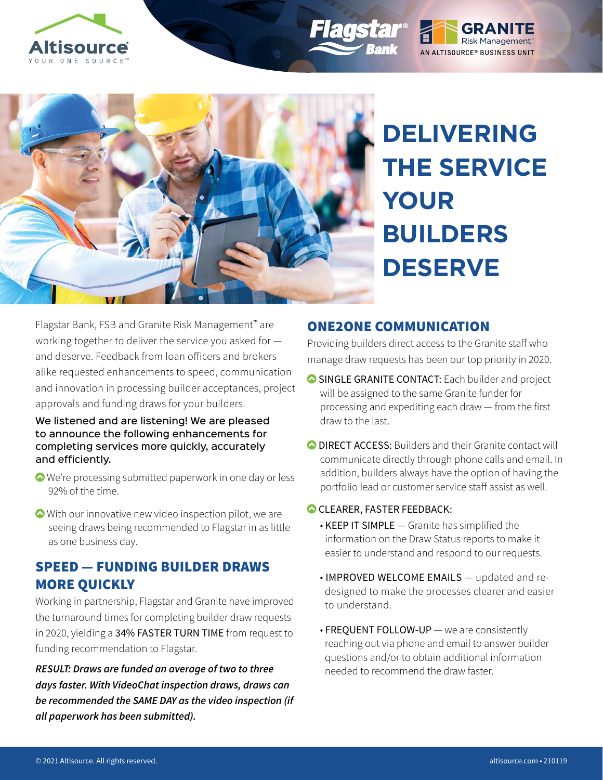



**DELIVERING THE SERVICE YOUR BUILDERS DESERVE**

Risk Management<sup>®</sup>

AN ALTISOURCE® BUSINESS UNIT

Flagstar Bank, FSB and Granite Risk Management™ are working together to deliver the service you asked for and deserve. Feedback from loan officers and brokers alike requested enhancements to speed, communication and innovation in processing builder acceptances, project approvals and funding draws for your builders.

#### We listened and are listening! We are pleased to announce the following enhancements for completing services more quickly, accurately and efficiently.

- We're processing submitted paperwork in one day or less 92% of the time.
- With our innovative new video inspection pilot, we are seeing draws being recommended to Flagstar in as little as one business day.

## SPEED — FUNDING BUILDER DRAWS MORE QUICKLY

Working in partnership, Flagstar and Granite have improved the turnaround times for completing builder draw requests in 2020, yielding a 34% FASTER TURN TIME from request to funding recommendation to Flagstar.

*RESULT: Draws are funded an average of two to three days faster. With VideoChat inspection draws, draws can be recommended the SAME DAY as the video inspection (if all paperwork has been submitted).*

## ONE2ONE COMMUNICATION

Providing builders direct access to the Granite staff who manage draw requests has been our top priority in 2020.

- SINGLE GRANITE CONTACT: Each builder and project will be assigned to the same Granite funder for processing and expediting each draw — from the first draw to the last.
- O DIRECT ACCESS: Builders and their Granite contact will communicate directly through phone calls and email. In addition, builders always have the option of having the portfolio lead or customer service staff assist as well.

### CLEARER, FASTER FEEDBACK:

- KEEP IT SIMPLE Granite has simplified the information on the Draw Status reports to make it easier to understand and respond to our requests.
- IMPROVED WELCOME EMAILS updated and redesigned to make the processes clearer and easier to understand.
- FREQUENT FOLLOW-UP we are consistently reaching out via phone and email to answer builder questions and/or to obtain additional information needed to recommend the draw faster.